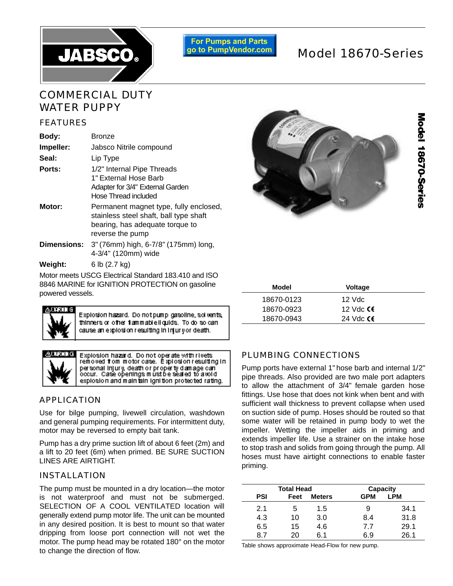

**For Pumps and Parts** go to PumpVendor.com

# Model 18670-Series

## COMMERCIAL DUTY WATER PUPPY

### FEATURES

| Body:              | Bronze                                                                                                                                  |
|--------------------|-----------------------------------------------------------------------------------------------------------------------------------------|
| Impeller:          | Jabsco Nitrile compound                                                                                                                 |
| Seal:              | Lip Type                                                                                                                                |
| Ports:             | 1/2" Internal Pipe Threads<br>1" External Hose Barb<br>Adapter for 3/4" External Garden<br>Hose Thread included                         |
| Motor:             | Permanent magnet type, fully enclosed,<br>stainless steel shaft, ball type shaft<br>bearing, has adequate torque to<br>reverse the pump |
| <b>Dimensions:</b> | 3" (76mm) high, 6-7/8" (175mm) long,<br>4-3/4" (120mm) wide                                                                             |
| Weight:            | 6 lb (2.7 kg)                                                                                                                           |

Motor meets USCG Electrical Standard 183.410 and ISO 8846 MARINE for IGNITION PROTECTION on gasoline



powered vessels.

Explosion hazard. Do not pump gasoline, solvents, thinners or other 1 ammable il guids. To do so can cause an explosion resulting in injuryor death.



Explosion hazard. Do noto perate with rivets<br>removed from motor case. Explosion resulting in perso nail injury, death o r property damage can<br>occur. Case o penings mustbe sealed to a vold explosion and main tain ignition protected rating.

## APPLICATION

Use for bilge pumping, livewell circulation, washdown and general pumping requirements. For intermittent duty, motor may be reversed to empty bait tank.

Pump has a dry prime suction lift of about 6 feet (2m) and a lift to 20 feet (6m) when primed. BE SURE SUCTION LINES ARE AIRTIGHT.

### INSTALLATION

The pump must be mounted in a dry location—the motor is not waterproof and must not be submerged. SELECTION OF A COOL VENTILATED location will generally extend pump motor life. The unit can be mounted in any desired position. It is best to mount so that water dripping from loose port connection will not wet the motor. The pump head may be rotated 180° on the motor to change the direction of flow.



| Model      | Voltage              |  |
|------------|----------------------|--|
| 18670-0123 | 12 Vdc               |  |
| 18670-0923 | 12 Vdc $\epsilon$    |  |
| 18670-0943 | 24 Vdc $\mathsf{CE}$ |  |

## PLUMBING CONNECTIONS

Pump ports have external 1"hose barb and internal 1/2" pipe threads. Also provided are two male port adapters to allow the attachment of 3/4" female garden hose fittings. Use hose that does not kink when bent and with sufficient wall thickness to prevent collapse when used on suction side of pump. Hoses should be routed so that some water will be retained in pump body to wet the impeller. Wetting the impeller aids in priming and extends impeller life. Use a strainer on the intake hose to stop trash and solids from going through the pump. All hoses must have airtight connections to enable faster priming.

| <b>Total Head</b> |      |               | Capacity   |      |
|-------------------|------|---------------|------------|------|
| PSI               | Feet | <b>Meters</b> | <b>GPM</b> | LPM  |
| 2.1               | 5    | 1.5           | 9          | 34.1 |
| 4.3               | 10   | 3.0           | 8.4        | 31.8 |
| 6.5               | 15   | 4.6           | 7.7        | 29.1 |
| 87                | 20   | 61            | 6.9        | 26.1 |

Table shows approximate Head-Flow for new pump.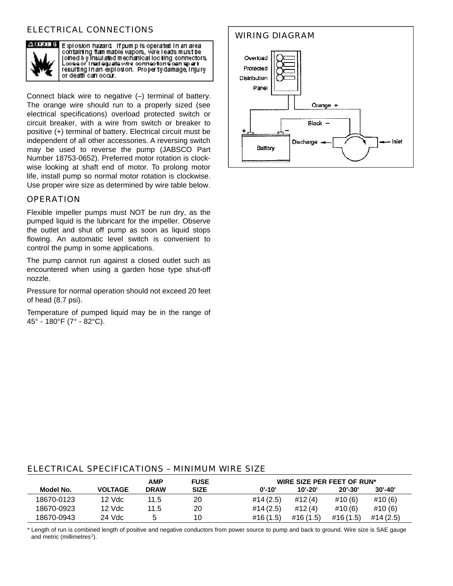## ELECTRICAL CONNECTIONS



Explosion hazard if pump is operated in an area containing flam mable vapors, wire leads must be olned bly insulated mechanical locking connectors. oo ee or inad equate wire connection e can aparti resulting in an explosion. Property damage injury or death can occur.

Connect black wire to negative (–) terminal of battery. The orange wire should run to a properly sized (see electrical specifications) overload protected switch or circuit breaker, with a wire from switch or breaker to positive (+) terminal of battery. Electrical circuit must be independent of all other accessories. A reversing switch may be used to reverse the pump (JABSCO Part Number 18753-0652). Preferred motor rotation is clockwise looking at shaft end of motor. To prolong motor life, install pump so normal motor rotation is clockwise. Use proper wire size as determined by wire table below.

### **OPERATION**

Flexible impeller pumps must NOT be run dry, as the pumped liquid is the lubricant for the impeller. Observe the outlet and shut off pump as soon as liquid stops flowing. An automatic level switch is convenient to control the pump in some applications.

The pump cannot run against a closed outlet such as encountered when using a garden hose type shut-off nozzle.

Pressure for normal operation should not exceed 20 feet of head (8.7 psi).

Temperature of pumped liquid may be in the range of 45° - 180°F (7° - 82°C).



### ELECTRICAL SPECIFICATIONS – MINIMUM WIRE SIZE

|            |                | AMP         | <b>FUSE</b> |             | WIRE SIZE PER FEET OF RUN* |             |             |  |
|------------|----------------|-------------|-------------|-------------|----------------------------|-------------|-------------|--|
| Model No.  | <b>VOLTAGE</b> | <b>DRAW</b> | <b>SIZE</b> | $0'$ -10'   | $10' - 20'$                | $20' - 30'$ | $30' - 40'$ |  |
| 18670-0123 | 12 Vdc         | 11.5        | 20          | #14 (2.5)   | $\#12(4)$                  | #10(6)      | #10 (6)     |  |
| 18670-0923 | 12 Vdc         | 11.5        | 20          | $\#14(2.5)$ | $\#12(4)$                  | #10(6)      | #10 (6)     |  |
| 18670-0943 | 24 Vdc         |             | 10          | $\#16(1.5)$ | #16 (1.5)                  | $\#16(1.5)$ | $\#14(2.5)$ |  |

\* Length of run is combined length of positive and negative conductors from power source to pump and back to ground. Wire size is SAE gauge and metric (millimetres<sup>2</sup>).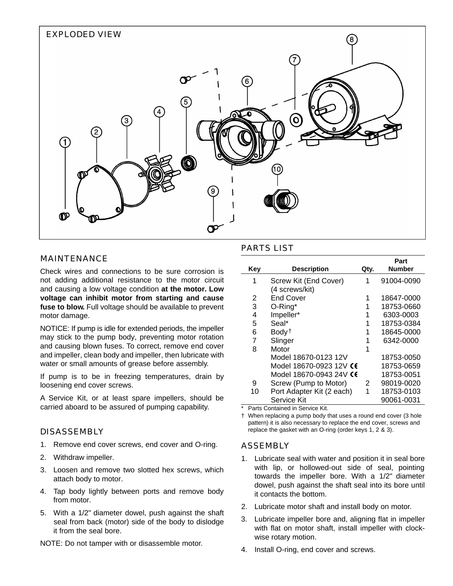

### MAINTENANCE

Check wires and connections to be sure corrosion is not adding additional resistance to the motor circuit and causing a low voltage condition **at the motor. Low voltage can inhibit motor from starting and cause fuse to blow.** Full voltage should be available to prevent motor damage.

NOTICE: If pump is idle for extended periods, the impeller may stick to the pump body, preventing motor rotation and causing blown fuses. To correct, remove end cover and impeller, clean body and impeller, then lubricate with water or small amounts of grease before assembly.

If pump is to be in freezing temperatures, drain by loosening end cover screws.

A Service Kit, or at least spare impellers, should be carried aboard to be assured of pumping capability.

### DISASSEMBLY

- 1. Remove end cover screws, end cover and O-ring.
- 2. Withdraw impeller.
- 3. Loosen and remove two slotted hex screws, which attach body to motor.
- 4. Tap body lightly between ports and remove body from motor.
- 5. With a 1/2" diameter dowel, push against the shaft seal from back (motor) side of the body to dislodge it from the seal bore.

NOTE: Do not tamper with or disassemble motor.

#### PARTS LIST

|     |                           |      | Part          |
|-----|---------------------------|------|---------------|
| Key | <b>Description</b>        | Qty. | <b>Number</b> |
| 1   | Screw Kit (End Cover)     | 1    | 91004-0090    |
|     | (4 screws/kit)            |      |               |
| 2   | <b>End Cover</b>          |      | 18647-0000    |
| 3   | $O-Ring^*$                |      | 18753-0660    |
| 4   | Impeller*                 |      | 6303-0003     |
| 5   | Seal*                     | 1    | 18753-0384    |
| 6   | Body†                     |      | 18645-0000    |
| 7   | Slinger                   |      | 6342-0000     |
| 8   | Motor                     |      |               |
|     | Model 18670-0123 12V      |      | 18753-0050    |
|     | Model 18670-0923 12V CE   |      | 18753-0659    |
|     | Model 18670-0943 24V CC   |      | 18753-0051    |
| 9   | Screw (Pump to Motor)     | 2    | 98019-0020    |
| 10  | Port Adapter Kit (2 each) | 1    | 18753-0103    |
|     | Service Kit               |      | 90061-0031    |

\* Parts Contained in Service Kit.

† When replacing a pump body that uses a round end cover (3 hole pattern) it is also necessary to replace the end cover, screws and replace the gasket with an O-ring (order keys 1, 2 & 3).

#### ASSEMBLY

- 1. Lubricate seal with water and position it in seal bore with lip, or hollowed-out side of seal, pointing towards the impeller bore. With a 1/2" diameter dowel, push against the shaft seal into its bore until it contacts the bottom.
- 2. Lubricate motor shaft and install body on motor.
- 3. Lubricate impeller bore and, aligning flat in impeller with flat on motor shaft, install impeller with clockwise rotary motion.
- 4. Install O-ring, end cover and screws.